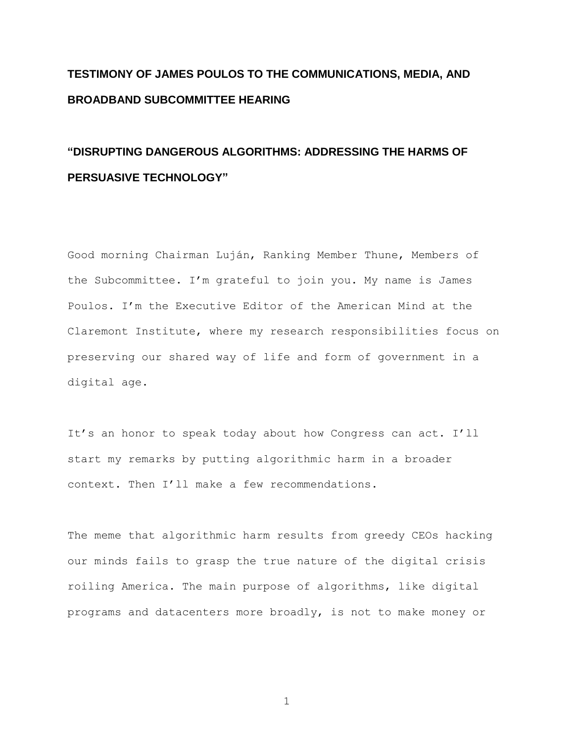## **TESTIMONY OF JAMES POULOS TO THE COMMUNICATIONS, MEDIA, AND BROADBAND SUBCOMMITTEE HEARING**

## **"DISRUPTING DANGEROUS ALGORITHMS: ADDRESSING THE HARMS OF PERSUASIVE TECHNOLOGY"**

Good morning Chairman Luján, Ranking Member Thune, Members of the Subcommittee. I'm grateful to join you. My name is James Poulos. I'm the Executive Editor of the American Mind at the Claremont Institute, where my research responsibilities focus on preserving our shared way of life and form of government in a digital age.

It's an honor to speak today about how Congress can act. I'll start my remarks by putting algorithmic harm in a broader context. Then I'll make a few recommendations.

The meme that algorithmic harm results from greedy CEOs hacking our minds fails to grasp the true nature of the digital crisis roiling America. The main purpose of algorithms, like digital programs and datacenters more broadly, is not to make money or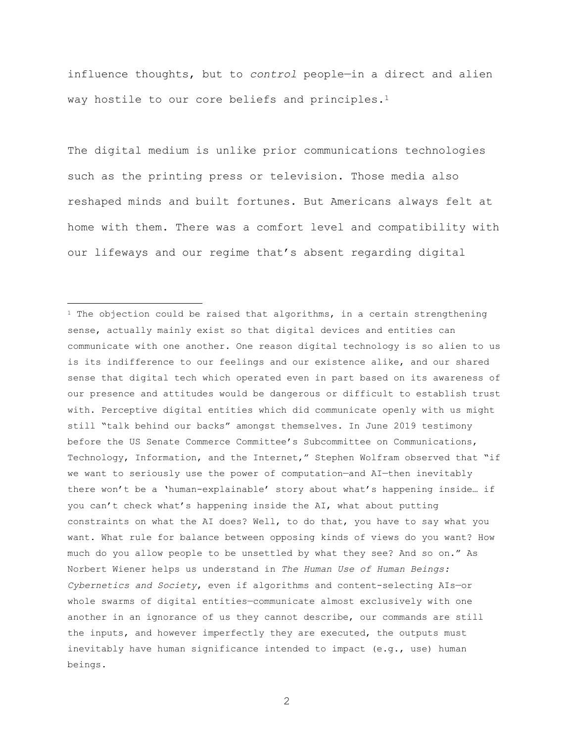influence thoughts, but to *control* people—in a direct and alien way hostile to our core beliefs and principles.<sup>1</sup>

The digital medium is unlike prior communications technologies such as the printing press or television. Those media also reshaped minds and built fortunes. But Americans always felt at home with them. There was a comfort level and compatibility with our lifeways and our regime that's absent regarding digital

 $\overline{a}$ 

<sup>1</sup> The objection could be raised that algorithms, in a certain strengthening sense, actually mainly exist so that digital devices and entities can communicate with one another. One reason digital technology is so alien to us is its indifference to our feelings and our existence alike, and our shared sense that digital tech which operated even in part based on its awareness of our presence and attitudes would be dangerous or difficult to establish trust with. Perceptive digital entities which did communicate openly with us might still "talk behind our backs" amongst themselves. In June 2019 testimony before the US Senate Commerce Committee's Subcommittee on Communications, Technology, Information, and the Internet," Stephen Wolfram observed that "if we want to seriously use the power of computation—and AI—then inevitably there won't be a 'human-explainable' story about what's happening inside… if you can't check what's happening inside the AI, what about putting constraints on what the AI does? Well, to do that, you have to say what you want. What rule for balance between opposing kinds of views do you want? How much do you allow people to be unsettled by what they see? And so on." As Norbert Wiener helps us understand in *The Human Use of Human Beings: Cybernetics and Society*, even if algorithms and content-selecting AIs—or whole swarms of digital entities—communicate almost exclusively with one another in an ignorance of us they cannot describe, our commands are still the inputs, and however imperfectly they are executed, the outputs must inevitably have human significance intended to impact  $(e,q,$ , use) human beings.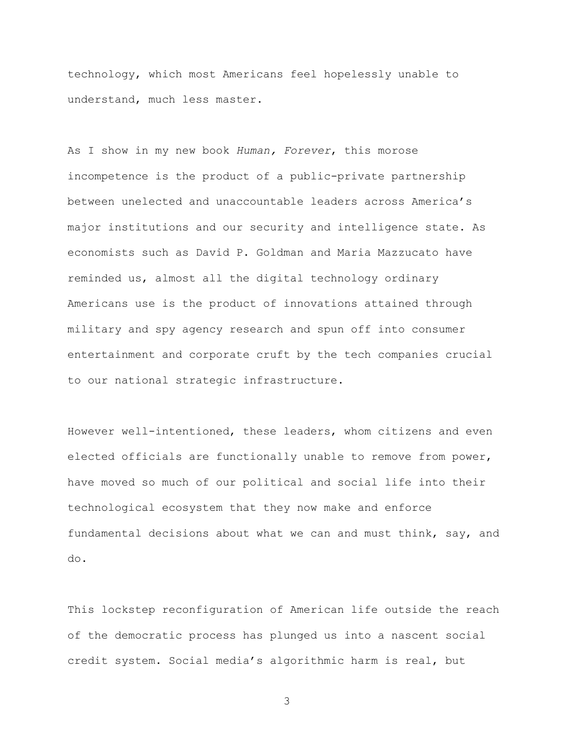technology, which most Americans feel hopelessly unable to understand, much less master.

As I show in my new book *Human, Forever*, this morose incompetence is the product of a public-private partnership between unelected and unaccountable leaders across America's major institutions and our security and intelligence state. As economists such as David P. Goldman and Maria Mazzucato have reminded us, almost all the digital technology ordinary Americans use is the product of innovations attained through military and spy agency research and spun off into consumer entertainment and corporate cruft by the tech companies crucial to our national strategic infrastructure.

However well-intentioned, these leaders, whom citizens and even elected officials are functionally unable to remove from power, have moved so much of our political and social life into their technological ecosystem that they now make and enforce fundamental decisions about what we can and must think, say, and do.

This lockstep reconfiguration of American life outside the reach of the democratic process has plunged us into a nascent social credit system. Social media's algorithmic harm is real, but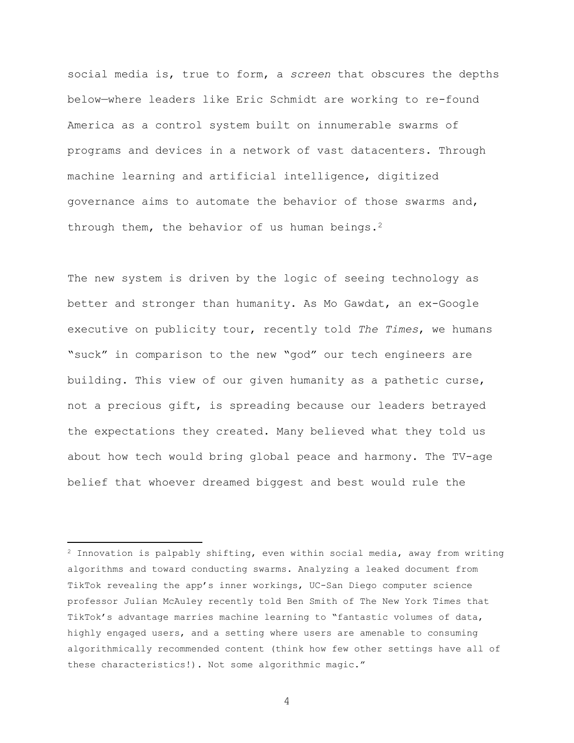social media is, true to form, a *screen* that obscures the depths below—where leaders like Eric Schmidt are working to re-found America as a control system built on innumerable swarms of programs and devices in a network of vast datacenters. Through machine learning and artificial intelligence, digitized governance aims to automate the behavior of those swarms and, through them, the behavior of us human beings.<sup>2</sup>

The new system is driven by the logic of seeing technology as better and stronger than humanity. As Mo Gawdat, an ex-Google executive on publicity tour, recently told *The Times*, we humans "suck" in comparison to the new "god" our tech engineers are building. This view of our given humanity as a pathetic curse, not a precious gift, is spreading because our leaders betrayed the expectations they created. Many believed what they told us about how tech would bring global peace and harmony. The TV-age belief that whoever dreamed biggest and best would rule the

 $\overline{a}$ 

 $2$  Innovation is palpably shifting, even within social media, away from writing algorithms and toward conducting swarms. Analyzing a leaked document from TikTok revealing the app's inner workings, UC-San Diego computer science professor Julian McAuley recently told Ben Smith of The New York Times that TikTok's advantage marries machine learning to "fantastic volumes of data, highly engaged users, and a setting where users are amenable to consuming algorithmically recommended content (think how few other settings have all of these characteristics!). Not some algorithmic magic."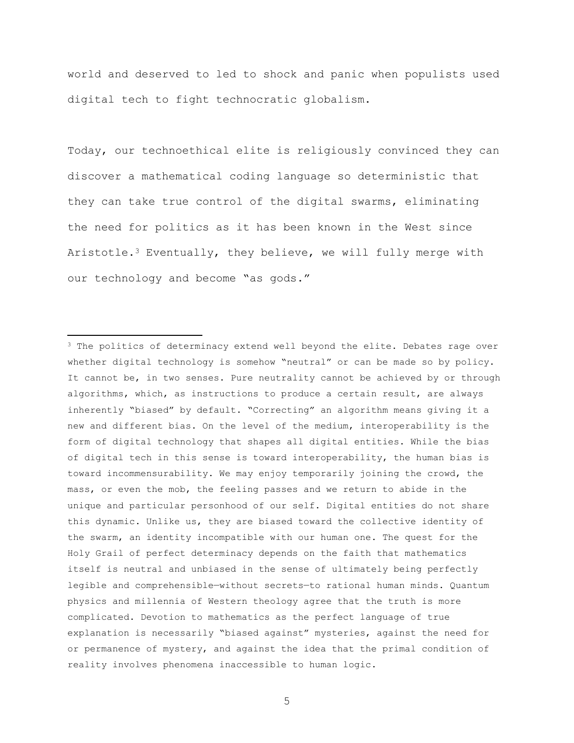world and deserved to led to shock and panic when populists used digital tech to fight technocratic globalism.

Today, our technoethical elite is religiously convinced they can discover a mathematical coding language so deterministic that they can take true control of the digital swarms, eliminating the need for politics as it has been known in the West since Aristotle.<sup>3</sup> Eventually, they believe, we will fully merge with our technology and become "as gods."

 $\overline{a}$ 

<sup>&</sup>lt;sup>3</sup> The politics of determinacy extend well beyond the elite. Debates rage over whether digital technology is somehow "neutral" or can be made so by policy. It cannot be, in two senses. Pure neutrality cannot be achieved by or through algorithms, which, as instructions to produce a certain result, are always inherently "biased" by default. "Correcting" an algorithm means giving it a new and different bias. On the level of the medium, interoperability is the form of digital technology that shapes all digital entities. While the bias of digital tech in this sense is toward interoperability, the human bias is toward incommensurability. We may enjoy temporarily joining the crowd, the mass, or even the mob, the feeling passes and we return to abide in the unique and particular personhood of our self. Digital entities do not share this dynamic. Unlike us, they are biased toward the collective identity of the swarm, an identity incompatible with our human one. The quest for the Holy Grail of perfect determinacy depends on the faith that mathematics itself is neutral and unbiased in the sense of ultimately being perfectly legible and comprehensible—without secrets—to rational human minds. Quantum physics and millennia of Western theology agree that the truth is more complicated. Devotion to mathematics as the perfect language of true explanation is necessarily "biased against" mysteries, against the need for or permanence of mystery, and against the idea that the primal condition of reality involves phenomena inaccessible to human logic.

<sup>5</sup>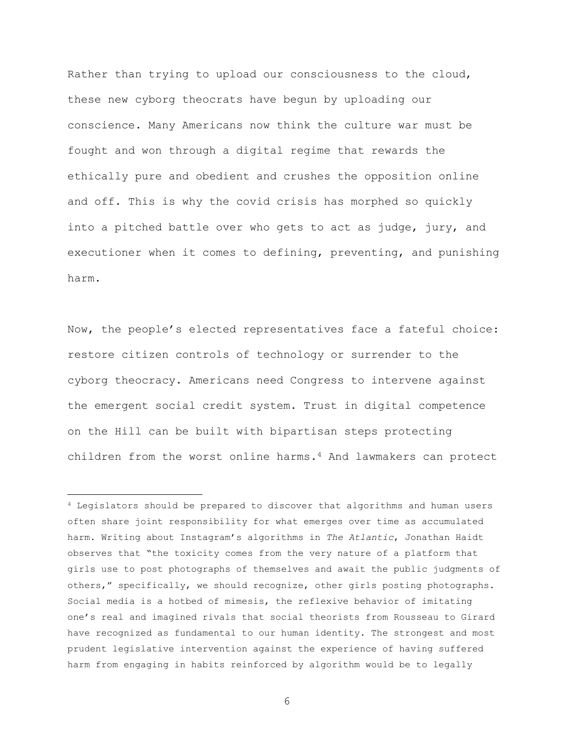Rather than trying to upload our consciousness to the cloud, these new cyborg theocrats have begun by uploading our conscience. Many Americans now think the culture war must be fought and won through a digital regime that rewards the ethically pure and obedient and crushes the opposition online and off. This is why the covid crisis has morphed so quickly into a pitched battle over who gets to act as judge, jury, and executioner when it comes to defining, preventing, and punishing harm.

Now, the people's elected representatives face a fateful choice: restore citizen controls of technology or surrender to the cyborg theocracy. Americans need Congress to intervene against the emergent social credit system. Trust in digital competence on the Hill can be built with bipartisan steps protecting children from the worst online harms.<sup>4</sup> And lawmakers can protect

 $\overline{a}$ 

<sup>4</sup> Legislators should be prepared to discover that algorithms and human users often share joint responsibility for what emerges over time as accumulated harm. Writing about Instagram's algorithms in *The Atlantic*, Jonathan Haidt observes that "the toxicity comes from the very nature of a platform that girls use to post photographs of themselves and await the public judgments of others," specifically, we should recognize, other girls posting photographs. Social media is a hotbed of mimesis, the reflexive behavior of imitating one's real and imagined rivals that social theorists from Rousseau to Girard have recognized as fundamental to our human identity. The strongest and most prudent legislative intervention against the experience of having suffered harm from engaging in habits reinforced by algorithm would be to legally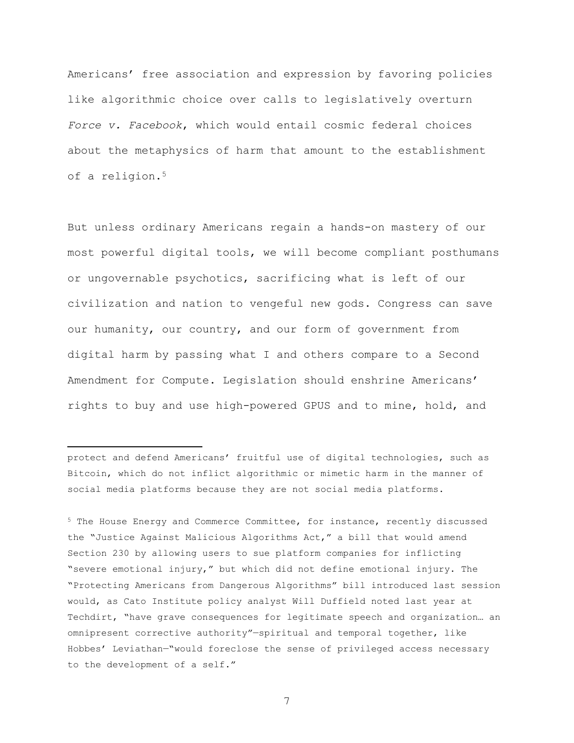Americans' free association and expression by favoring policies like algorithmic choice over calls to legislatively overturn *Force v. Facebook*, which would entail cosmic federal choices about the metaphysics of harm that amount to the establishment of a religion.<sup>5</sup>

But unless ordinary Americans regain a hands-on mastery of our most powerful digital tools, we will become compliant posthumans or ungovernable psychotics, sacrificing what is left of our civilization and nation to vengeful new gods. Congress can save our humanity, our country, and our form of government from digital harm by passing what I and others compare to a Second Amendment for Compute. Legislation should enshrine Americans' rights to buy and use high-powered GPUS and to mine, hold, and

protect and defend Americans' fruitful use of digital technologies, such as Bitcoin, which do not inflict algorithmic or mimetic harm in the manner of social media platforms because they are not social media platforms.

 $\overline{a}$ 

<sup>5</sup> The House Energy and Commerce Committee, for instance, recently discussed the "Justice Against Malicious Algorithms Act," a bill that would amend Section 230 by allowing users to sue platform companies for inflicting "severe emotional injury," but which did not define emotional injury. The "Protecting Americans from Dangerous Algorithms" bill introduced last session would, as Cato Institute policy analyst Will Duffield noted last year at Techdirt, "have grave consequences for legitimate speech and organization… an omnipresent corrective authority"—spiritual and temporal together, like Hobbes' Leviathan—"would foreclose the sense of privileged access necessary to the development of a self."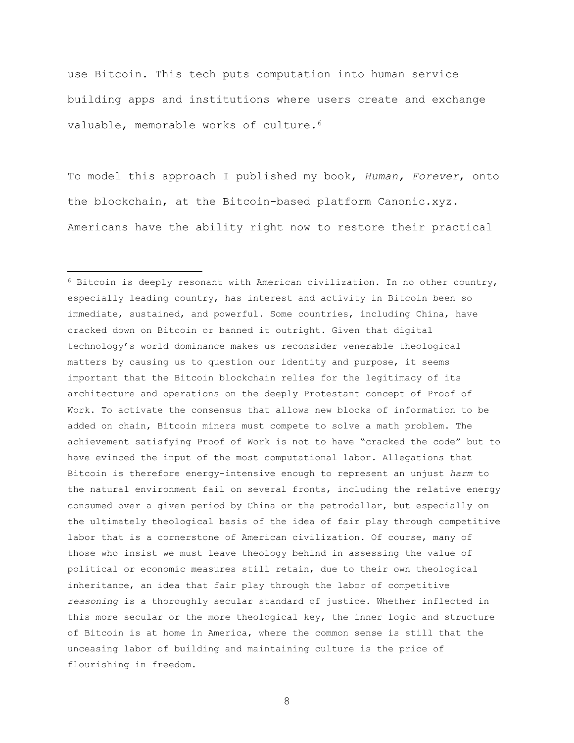use Bitcoin. This tech puts computation into human service building apps and institutions where users create and exchange valuable, memorable works of culture.<sup>6</sup>

To model this approach I published my book, *Human, Forever*, onto the blockchain, at the Bitcoin-based platform Canonic.xyz. Americans have the ability right now to restore their practical

 $\overline{a}$ 

<sup>6</sup> Bitcoin is deeply resonant with American civilization. In no other country, especially leading country, has interest and activity in Bitcoin been so immediate, sustained, and powerful. Some countries, including China, have cracked down on Bitcoin or banned it outright. Given that digital technology's world dominance makes us reconsider venerable theological matters by causing us to question our identity and purpose, it seems important that the Bitcoin blockchain relies for the legitimacy of its architecture and operations on the deeply Protestant concept of Proof of Work. To activate the consensus that allows new blocks of information to be added on chain, Bitcoin miners must compete to solve a math problem. The achievement satisfying Proof of Work is not to have "cracked the code" but to have evinced the input of the most computational labor. Allegations that Bitcoin is therefore energy-intensive enough to represent an unjust *harm* to the natural environment fail on several fronts, including the relative energy consumed over a given period by China or the petrodollar, but especially on the ultimately theological basis of the idea of fair play through competitive labor that is a cornerstone of American civilization. Of course, many of those who insist we must leave theology behind in assessing the value of political or economic measures still retain, due to their own theological inheritance, an idea that fair play through the labor of competitive *reasoning* is a thoroughly secular standard of justice. Whether inflected in this more secular or the more theological key, the inner logic and structure of Bitcoin is at home in America, where the common sense is still that the unceasing labor of building and maintaining culture is the price of flourishing in freedom.